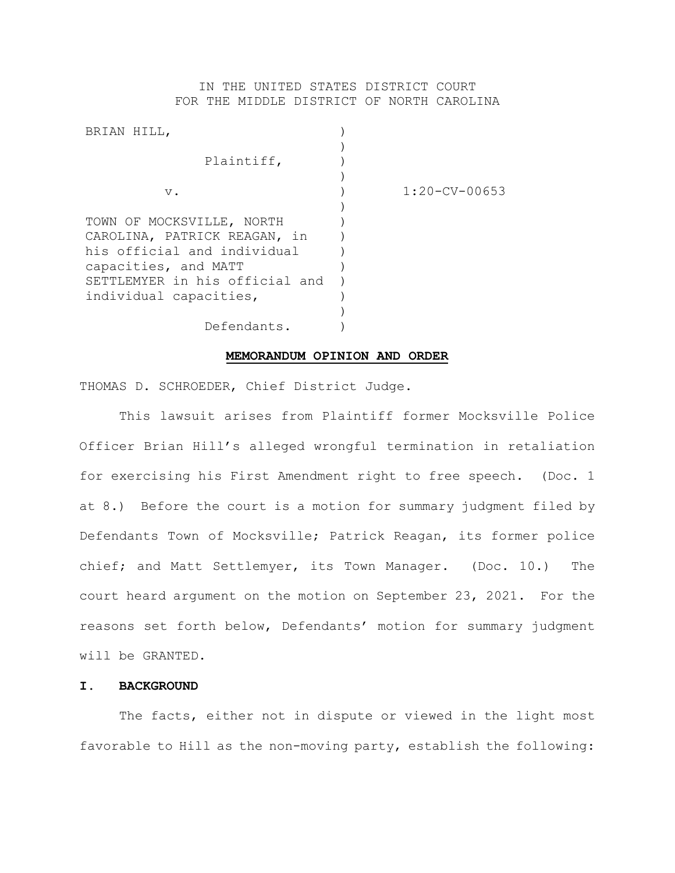## IN THE UNITED STATES DISTRICT COURT FOR THE MIDDLE DISTRICT OF NORTH CAROLINA

| $1:20-CV-00653$ |
|-----------------|
|                 |
|                 |
|                 |
|                 |
|                 |
|                 |
|                 |
|                 |
|                 |

#### **MEMORANDUM OPINION AND ORDER**

THOMAS D. SCHROEDER, Chief District Judge.

This lawsuit arises from Plaintiff former Mocksville Police Officer Brian Hill's alleged wrongful termination in retaliation for exercising his First Amendment right to free speech. (Doc. 1 at 8.) Before the court is a motion for summary judgment filed by Defendants Town of Mocksville; Patrick Reagan, its former police chief; and Matt Settlemyer, its Town Manager. (Doc. 10.) The court heard argument on the motion on September 23, 2021. For the reasons set forth below, Defendants' motion for summary judgment will be GRANTED.

### **I. BACKGROUND**

The facts, either not in dispute or viewed in the light most favorable to Hill as the non-moving party, establish the following: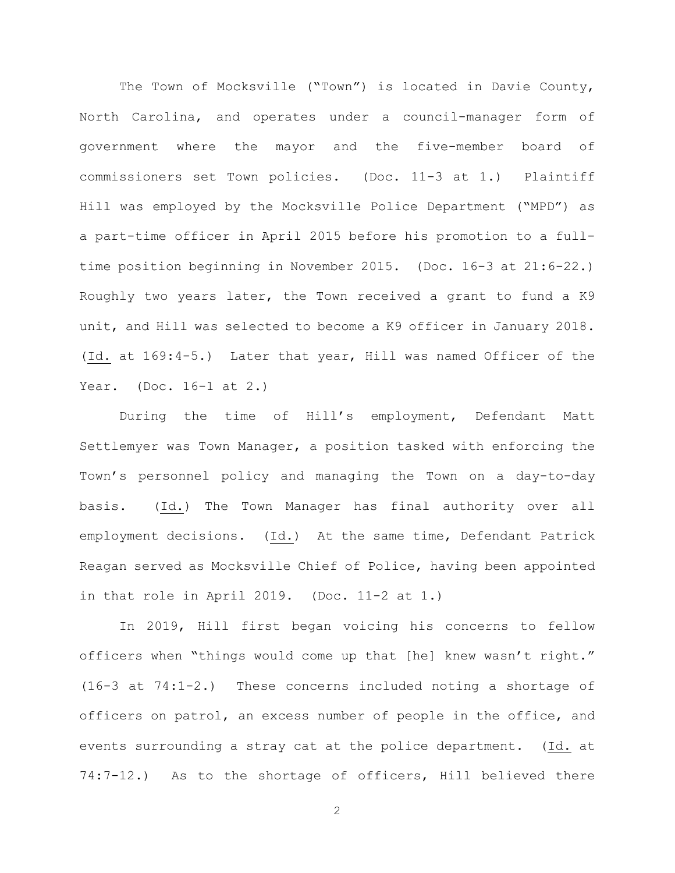The Town of Mocksville ("Town") is located in Davie County, North Carolina, and operates under a council-manager form of government where the mayor and the five-member board of commissioners set Town policies. (Doc. 11-3 at 1.) Plaintiff Hill was employed by the Mocksville Police Department ("MPD") as a part-time officer in April 2015 before his promotion to a fulltime position beginning in November 2015. (Doc. 16-3 at 21:6-22.) Roughly two years later, the Town received a grant to fund a K9 unit, and Hill was selected to become a K9 officer in January 2018. (Id. at 169:4-5.) Later that year, Hill was named Officer of the Year. (Doc. 16-1 at 2.)

During the time of Hill's employment, Defendant Matt Settlemyer was Town Manager, a position tasked with enforcing the Town's personnel policy and managing the Town on a day-to-day basis. (Id.) The Town Manager has final authority over all employment decisions. (Id.) At the same time, Defendant Patrick Reagan served as Mocksville Chief of Police, having been appointed in that role in April 2019. (Doc. 11-2 at 1.)

In 2019, Hill first began voicing his concerns to fellow officers when "things would come up that [he] knew wasn't right." (16-3 at 74:1-2.) These concerns included noting a shortage of officers on patrol, an excess number of people in the office, and events surrounding a stray cat at the police department. (Id. at 74:7-12.) As to the shortage of officers, Hill believed there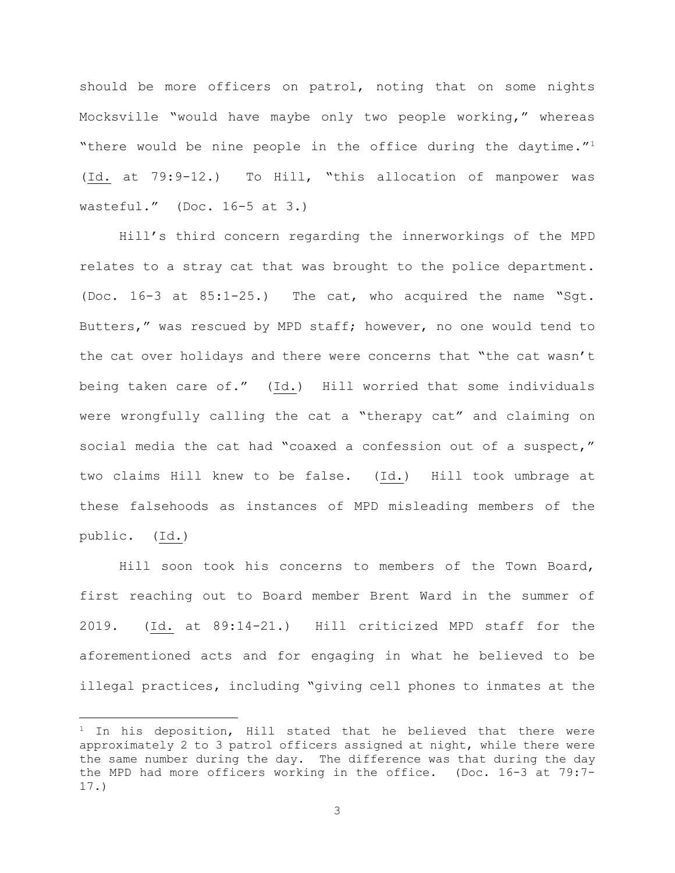should be more officers on patrol, noting that on some nights Mocksville "would have maybe only two people working," whereas "there would be nine people in the office during the daytime."<sup>1</sup> (Id. at 79:9-12.) To Hill, "this allocation of manpower was wasteful." (Doc. 16-5 at 3.)

Hill's third concern regarding the innerworkings of the MPD relates to a stray cat that was brought to the police department. (Doc. 16-3 at 85:1-25.) The cat, who acquired the name "Sgt. Butters," was rescued by MPD staff; however, no one would tend to the cat over holidays and there were concerns that "the cat wasn't being taken care of." (Id.) Hill worried that some individuals were wrongfully calling the cat a "therapy cat" and claiming on social media the cat had "coaxed a confession out of a suspect," two claims Hill knew to be false. (Id.) Hill took umbrage at these falsehoods as instances of MPD misleading members of the public. (Id.)

Hill soon took his concerns to members of the Town Board, first reaching out to Board member Brent Ward in the summer of 2019. (Id. at 89:14-21.) Hill criticized MPD staff for the aforementioned acts and for engaging in what he believed to be illegal practices, including "giving cell phones to inmates at the

 $1$  In his deposition, Hill stated that he believed that there were approximately 2 to 3 patrol officers assigned at night, while there were the same number during the day. The difference was that during the day the MPD had more officers working in the office. (Doc. 16-3 at 79:7- 17.)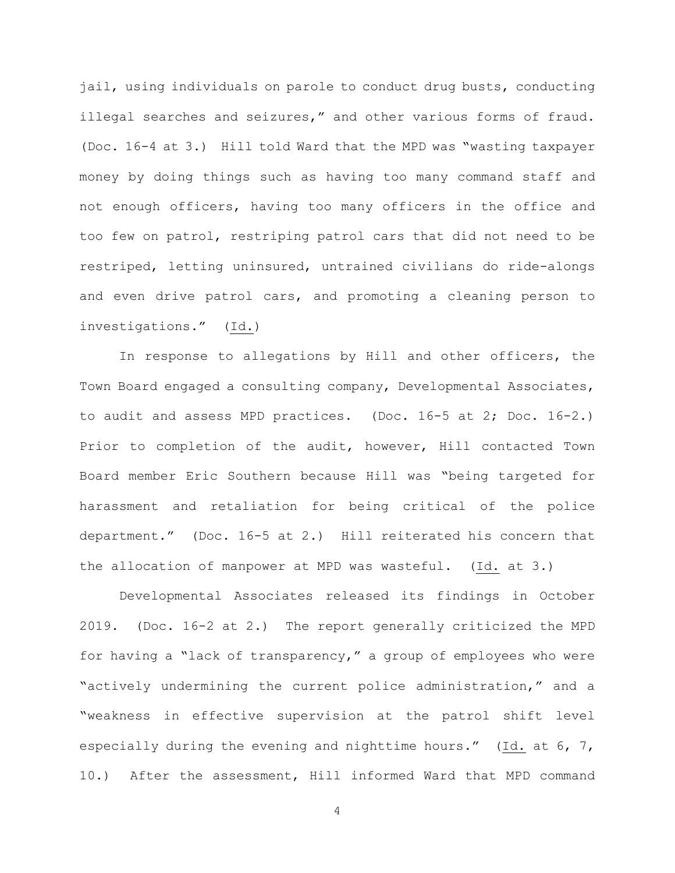jail, using individuals on parole to conduct drug busts, conducting illegal searches and seizures," and other various forms of fraud. (Doc. 16-4 at 3.) Hill told Ward that the MPD was "wasting taxpayer money by doing things such as having too many command staff and not enough officers, having too many officers in the office and too few on patrol, restriping patrol cars that did not need to be restriped, letting uninsured, untrained civilians do ride-alongs and even drive patrol cars, and promoting a cleaning person to investigations." (Id.)

In response to allegations by Hill and other officers, the Town Board engaged a consulting company, Developmental Associates, to audit and assess MPD practices. (Doc. 16-5 at 2; Doc. 16-2.) Prior to completion of the audit, however, Hill contacted Town Board member Eric Southern because Hill was "being targeted for harassment and retaliation for being critical of the police department." (Doc. 16-5 at 2.) Hill reiterated his concern that the allocation of manpower at MPD was wasteful. (Id. at 3.)

Developmental Associates released its findings in October 2019. (Doc. 16-2 at 2.) The report generally criticized the MPD for having a "lack of transparency," a group of employees who were "actively undermining the current police administration," and a "weakness in effective supervision at the patrol shift level especially during the evening and nighttime hours." (Id. at 6, 7, 10.) After the assessment, Hill informed Ward that MPD command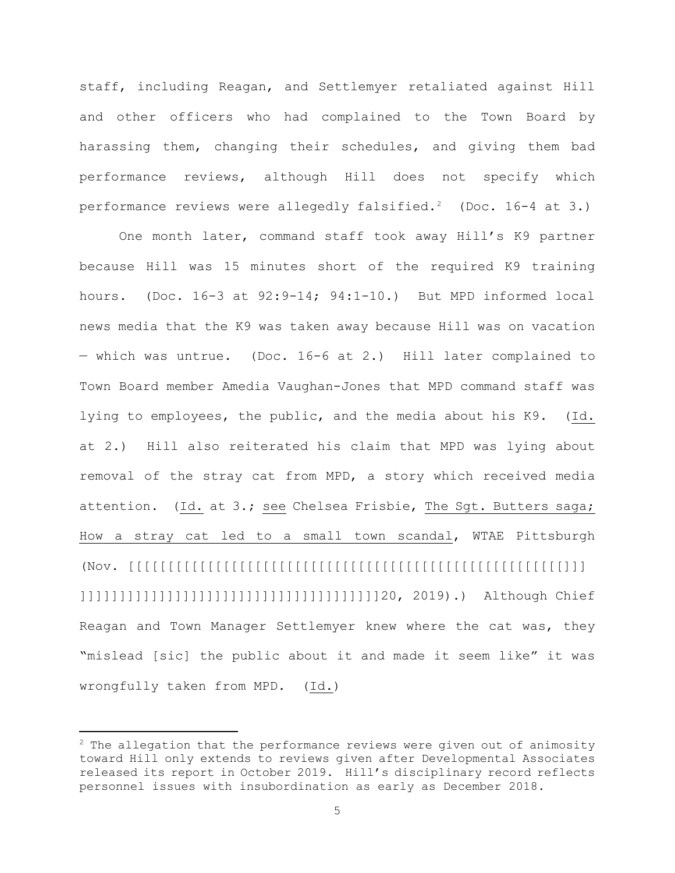staff, including Reagan, and Settlemyer retaliated against Hill and other officers who had complained to the Town Board by harassing them, changing their schedules, and giving them bad performance reviews, although Hill does not specify which performance reviews were allegedly falsified.<sup>2</sup> (Doc. 16-4 at 3.)

One month later, command staff took away Hill's K9 partner because Hill was 15 minutes short of the required K9 training hours. (Doc. 16-3 at 92:9-14; 94:1-10.) But MPD informed local news media that the K9 was taken away because Hill was on vacation — which was untrue. (Doc. 16-6 at 2.) Hill later complained to Town Board member Amedia Vaughan-Jones that MPD command staff was lying to employees, the public, and the media about his K9. (Id. at 2.) Hill also reiterated his claim that MPD was lying about removal of the stray cat from MPD, a story which received media attention. (Id. at 3.; see Chelsea Frisbie, The Sgt. Butters saga; How a stray cat led to a small town scandal, WTAE Pittsburgh (Nov. [[[[[[[[[[[[[[[[[[[[[[[[[[[[[[[[[[[[[[[[[[[[[[[[[[[[[[[]]] ]]]]]]]]]]]]]]]]]]]]]]]]]]]]]]]]]]]]]]20, 2019).) Although Chief Reagan and Town Manager Settlemyer knew where the cat was, they "mislead [sic] the public about it and made it seem like" it was wrongfully taken from MPD. (Id.)

 $2$  The allegation that the performance reviews were given out of animosity toward Hill only extends to reviews given after Developmental Associates released its report in October 2019. Hill's disciplinary record reflects personnel issues with insubordination as early as December 2018.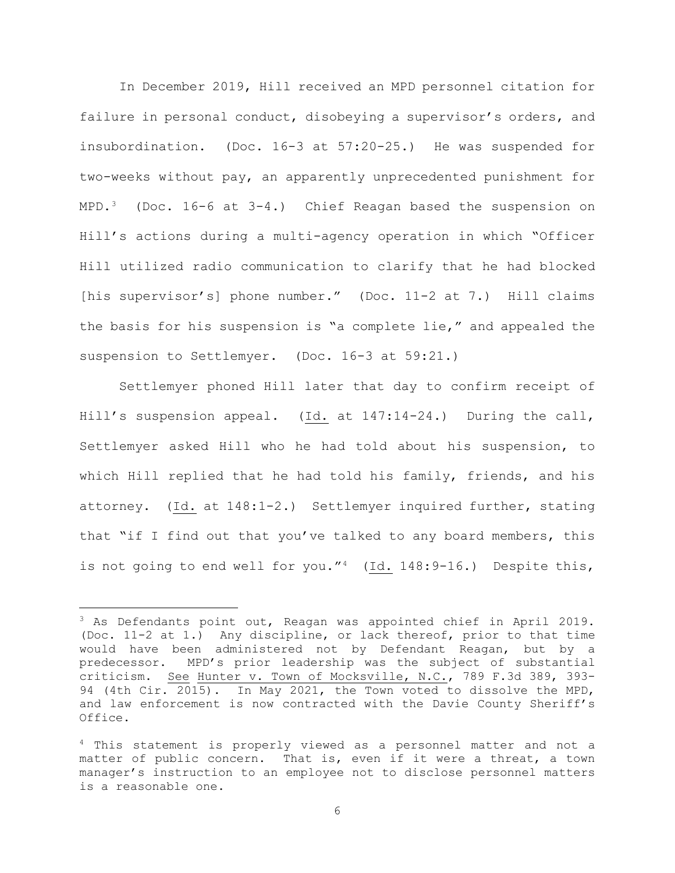In December 2019, Hill received an MPD personnel citation for failure in personal conduct, disobeying a supervisor's orders, and insubordination. (Doc. 16-3 at 57:20-25.) He was suspended for two-weeks without pay, an apparently unprecedented punishment for MPD.<sup>3</sup> (Doc. 16-6 at  $3-4$ .) Chief Reagan based the suspension on Hill's actions during a multi-agency operation in which "Officer Hill utilized radio communication to clarify that he had blocked [his supervisor's] phone number." (Doc. 11-2 at 7.) Hill claims the basis for his suspension is "a complete lie," and appealed the suspension to Settlemyer. (Doc. 16-3 at 59:21.)

Settlemyer phoned Hill later that day to confirm receipt of Hill's suspension appeal. (Id. at 147:14-24.) During the call, Settlemyer asked Hill who he had told about his suspension, to which Hill replied that he had told his family, friends, and his attorney. (Id. at 148:1-2.) Settlemyer inquired further, stating that "if I find out that you've talked to any board members, this is not going to end well for you." $4$  (Id. 148:9-16.) Despite this,

<sup>3</sup> As Defendants point out, Reagan was appointed chief in April 2019. (Doc. 11-2 at 1.) Any discipline, or lack thereof, prior to that time would have been administered not by Defendant Reagan, but by a<br>predecessor. MPD's prior leadership was the subject of substantial MPD's prior leadership was the subject of substantial criticism. See Hunter v. Town of Mocksville, N.C., 789 F.3d 389, 393- 94 (4th Cir. 2015). In May 2021, the Town voted to dissolve the MPD, and law enforcement is now contracted with the Davie County Sheriff's Office.

<sup>&</sup>lt;sup>4</sup> This statement is properly viewed as a personnel matter and not a matter of public concern. That is, even if it were a threat, a town manager's instruction to an employee not to disclose personnel matters is a reasonable one.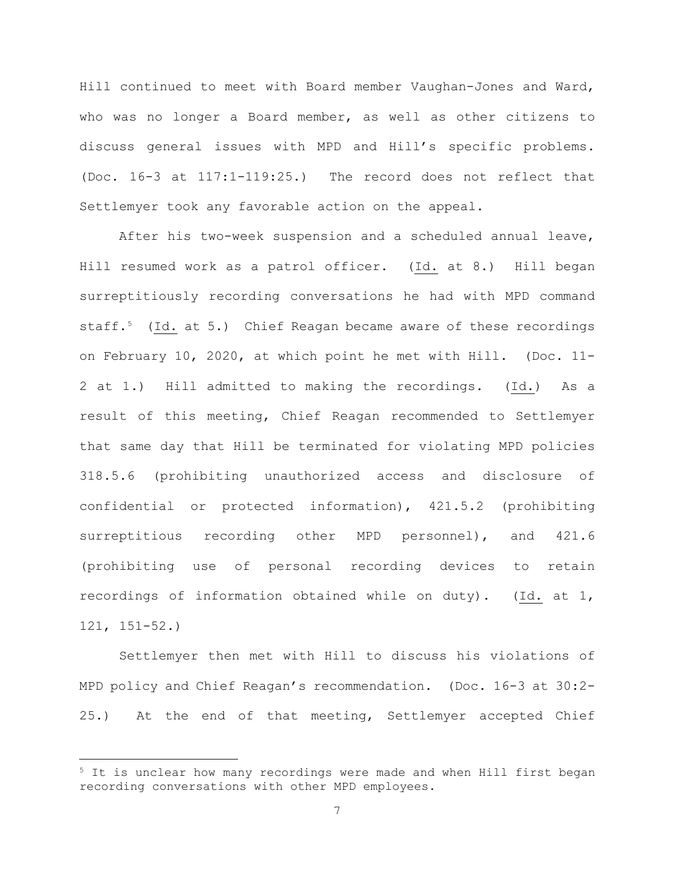Hill continued to meet with Board member Vaughan-Jones and Ward, who was no longer a Board member, as well as other citizens to discuss general issues with MPD and Hill's specific problems. (Doc. 16-3 at 117:1-119:25.) The record does not reflect that Settlemyer took any favorable action on the appeal.

After his two-week suspension and a scheduled annual leave, Hill resumed work as a patrol officer. (Id. at 8.) Hill began surreptitiously recording conversations he had with MPD command staff.<sup>5</sup> (Id. at 5.) Chief Reagan became aware of these recordings on February 10, 2020, at which point he met with Hill. (Doc. 11- 2 at 1.) Hill admitted to making the recordings. (Id.) As a result of this meeting, Chief Reagan recommended to Settlemyer that same day that Hill be terminated for violating MPD policies 318.5.6 (prohibiting unauthorized access and disclosure of confidential or protected information), 421.5.2 (prohibiting surreptitious recording other MPD personnel), and 421.6 (prohibiting use of personal recording devices to retain recordings of information obtained while on duty). (Id. at 1, 121, 151-52.)

Settlemyer then met with Hill to discuss his violations of MPD policy and Chief Reagan's recommendation. (Doc. 16-3 at 30:2- 25.) At the end of that meeting, Settlemyer accepted Chief

<sup>&</sup>lt;sup>5</sup> It is unclear how many recordings were made and when Hill first began recording conversations with other MPD employees.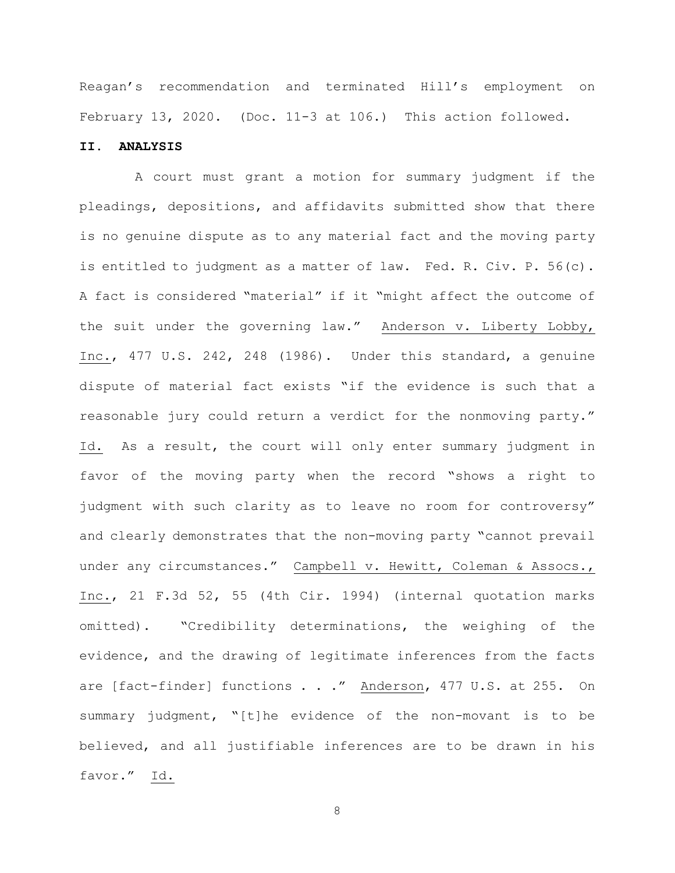Reagan's recommendation and terminated Hill's employment on February 13, 2020. (Doc. 11-3 at 106.) This action followed.

## **II. ANALYSIS**

 A court must grant a motion for summary judgment if the pleadings, depositions, and affidavits submitted show that there is no genuine dispute as to any material fact and the moving party is entitled to judgment as a matter of law. Fed. R. Civ. P. 56(c). A fact is considered "material" if it "might affect the outcome of the suit under the governing law." Anderson v. Liberty Lobby, Inc., 477 U.S. 242, 248 (1986). Under this standard, a genuine dispute of material fact exists "if the evidence is such that a reasonable jury could return a verdict for the nonmoving party." Id. As a result, the court will only enter summary judgment in favor of the moving party when the record "shows a right to judgment with such clarity as to leave no room for controversy" and clearly demonstrates that the non-moving party "cannot prevail under any circumstances." Campbell v. Hewitt, Coleman & Assocs., Inc., 21 F.3d 52, 55 (4th Cir. 1994) (internal quotation marks omitted). "Credibility determinations, the weighing of the evidence, and the drawing of legitimate inferences from the facts are [fact-finder] functions . . ." Anderson, 477 U.S. at 255. On summary judgment, "[t]he evidence of the non-movant is to be believed, and all justifiable inferences are to be drawn in his favor." Id.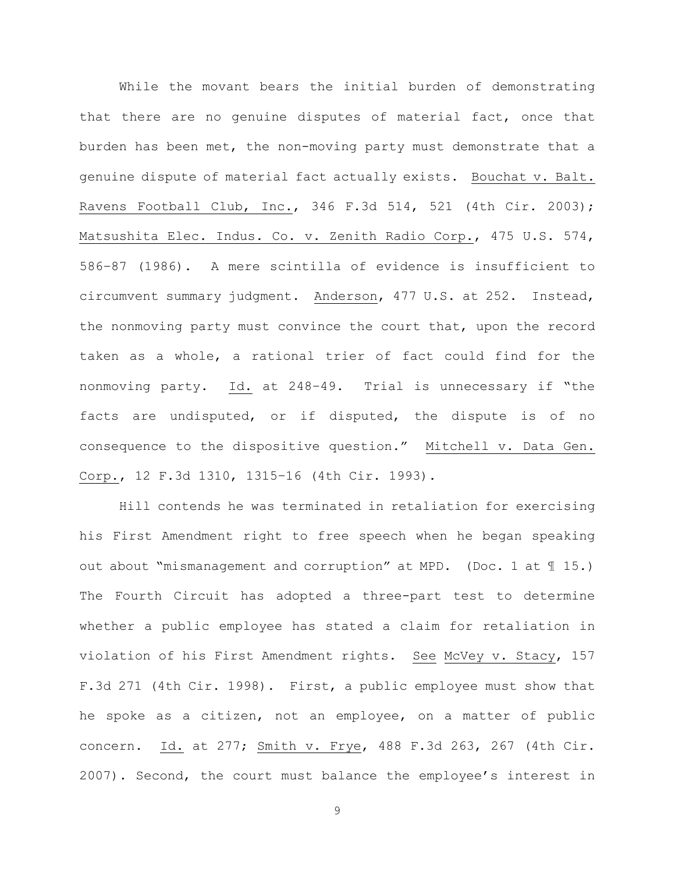While the movant bears the initial burden of demonstrating that there are no genuine disputes of material fact, once that burden has been met, the non-moving party must demonstrate that a genuine dispute of material fact actually exists. Bouchat v. Balt. Ravens Football Club, Inc., 346 F.3d 514, 521 (4th Cir. 2003); Matsushita Elec. Indus. Co. v. Zenith Radio Corp., 475 U.S. 574, 586–87 (1986). A mere scintilla of evidence is insufficient to circumvent summary judgment. Anderson, 477 U.S. at 252. Instead, the nonmoving party must convince the court that, upon the record taken as a whole, a rational trier of fact could find for the nonmoving party. Id. at 248–49. Trial is unnecessary if "the facts are undisputed, or if disputed, the dispute is of no consequence to the dispositive question." Mitchell v. Data Gen. Corp., 12 F.3d 1310, 1315–16 (4th Cir. 1993).

Hill contends he was terminated in retaliation for exercising his First Amendment right to free speech when he began speaking out about "mismanagement and corruption" at MPD. (Doc. 1 at ¶ 15.) The Fourth Circuit has adopted a three-part test to determine whether a public employee has stated a claim for retaliation in violation of his First Amendment rights. See McVey v. Stacy, 157 F.3d 271 (4th Cir. 1998). First, a public employee must show that he spoke as a citizen, not an employee, on a matter of public concern. Id. at 277; Smith v. Frye, 488 F.3d 263, 267 (4th Cir. 2007). Second, the court must balance the employee's interest in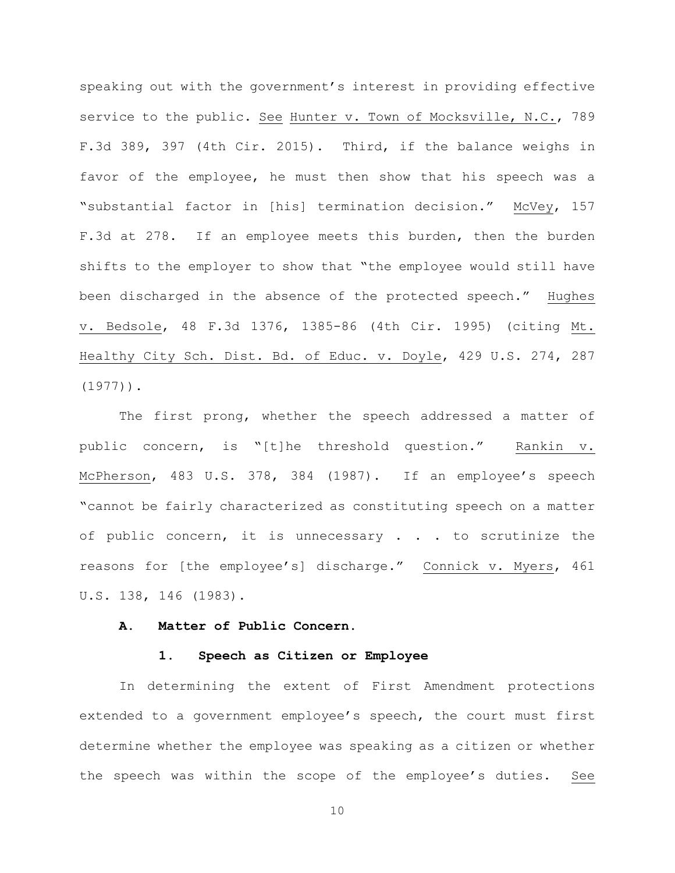speaking out with the government's interest in providing effective service to the public. See Hunter v. Town of Mocksville, N.C., 789 F.3d 389, 397 (4th Cir. 2015). Third, if the balance weighs in favor of the employee, he must then show that his speech was a "substantial factor in [his] termination decision." McVey, 157 F.3d at 278. If an employee meets this burden, then the burden shifts to the employer to show that "the employee would still have been discharged in the absence of the protected speech." Hughes v. Bedsole, 48 F.3d 1376, 1385-86 (4th Cir. 1995) (citing Mt. Healthy City Sch. Dist. Bd. of Educ. v. Doyle, 429 U.S. 274, 287 (1977)).

The first prong, whether the speech addressed a matter of public concern, is "[t]he threshold question." Rankin v. McPherson, 483 U.S. 378, 384 (1987). If an employee's speech "cannot be fairly characterized as constituting speech on a matter of public concern, it is unnecessary . . . to scrutinize the reasons for [the employee's] discharge." Connick v. Myers, 461 U.S. 138, 146 (1983).

## **A. Matter of Public Concern.**

#### **1. Speech as Citizen or Employee**

In determining the extent of First Amendment protections extended to a government employee's speech, the court must first determine whether the employee was speaking as a citizen or whether the speech was within the scope of the employee's duties. See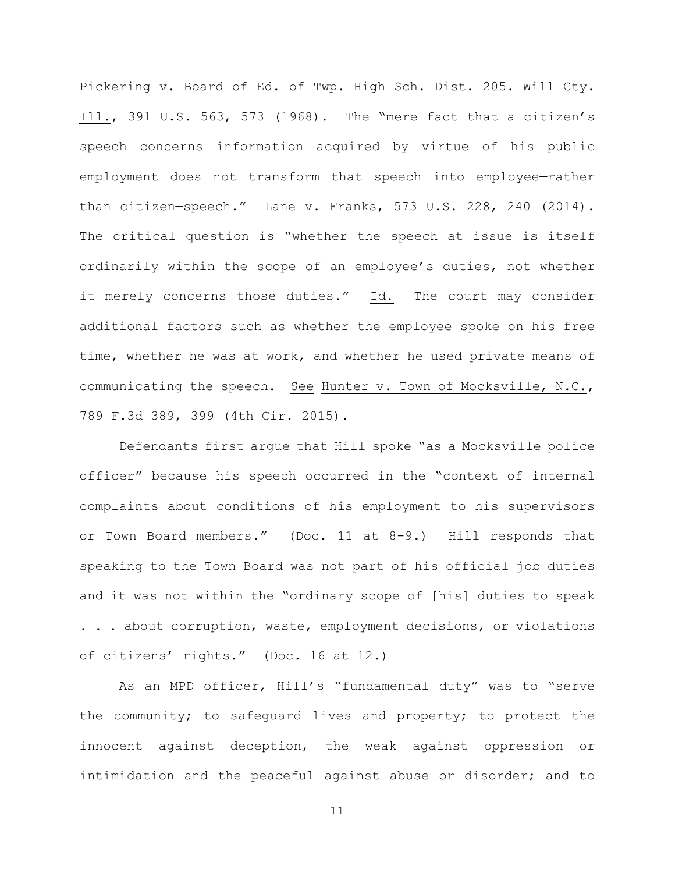Pickering v. Board of Ed. of Twp. High Sch. Dist. 205. Will Cty. Ill., 391 U.S. 563, 573 (1968). The "mere fact that a citizen's speech concerns information acquired by virtue of his public employment does not transform that speech into employee—rather than citizen—speech." Lane v. Franks, 573 U.S. 228, 240 (2014). The critical question is "whether the speech at issue is itself ordinarily within the scope of an employee's duties, not whether it merely concerns those duties." Id. The court may consider additional factors such as whether the employee spoke on his free time, whether he was at work, and whether he used private means of communicating the speech. See Hunter v. Town of Mocksville, N.C., 789 F.3d 389, 399 (4th Cir. 2015).

Defendants first argue that Hill spoke "as a Mocksville police officer" because his speech occurred in the "context of internal complaints about conditions of his employment to his supervisors or Town Board members." (Doc. 11 at 8-9.) Hill responds that speaking to the Town Board was not part of his official job duties and it was not within the "ordinary scope of [his] duties to speak . . . about corruption, waste, employment decisions, or violations of citizens' rights." (Doc. 16 at 12.)

As an MPD officer, Hill's "fundamental duty" was to "serve the community; to safeguard lives and property; to protect the innocent against deception, the weak against oppression or intimidation and the peaceful against abuse or disorder; and to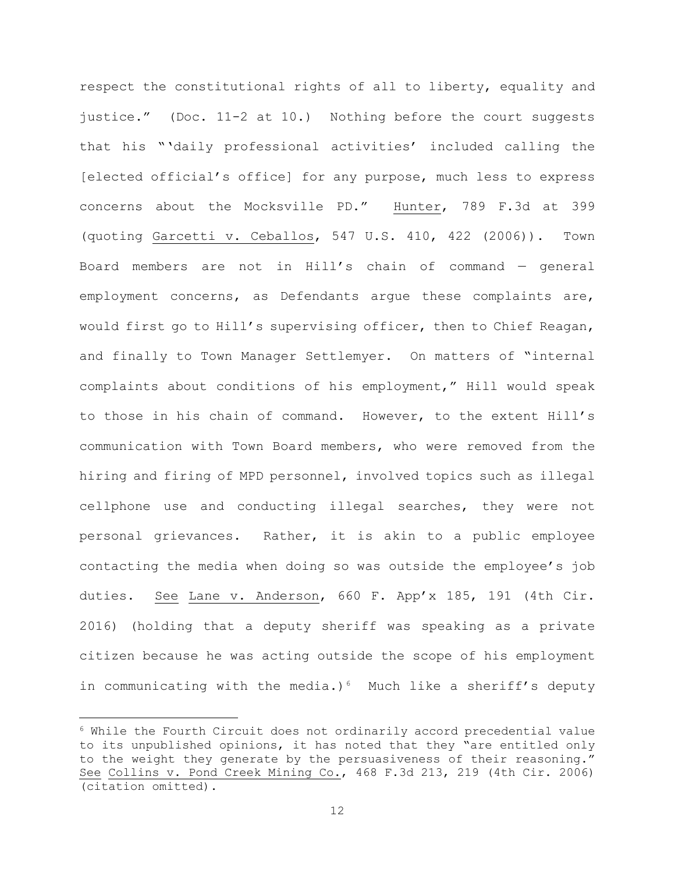respect the constitutional rights of all to liberty, equality and justice." (Doc. 11-2 at 10.) Nothing before the court suggests that his "'daily professional activities' included calling the [elected official's office] for any purpose, much less to express concerns about the Mocksville PD." Hunter, 789 F.3d at 399 (quoting Garcetti v. Ceballos, 547 U.S. 410, 422 (2006)). Town Board members are not in Hill's chain of command — general employment concerns, as Defendants argue these complaints are, would first go to Hill's supervising officer, then to Chief Reagan, and finally to Town Manager Settlemyer. On matters of "internal complaints about conditions of his employment," Hill would speak to those in his chain of command. However, to the extent Hill's communication with Town Board members, who were removed from the hiring and firing of MPD personnel, involved topics such as illegal cellphone use and conducting illegal searches, they were not personal grievances. Rather, it is akin to a public employee contacting the media when doing so was outside the employee's job duties. See Lane v. Anderson, 660 F. App'x 185, 191 (4th Cir. 2016) (holding that a deputy sheriff was speaking as a private citizen because he was acting outside the scope of his employment in communicating with the media.)<sup>6</sup> Much like a sheriff's deputy

 $6$  While the Fourth Circuit does not ordinarily accord precedential value to its unpublished opinions, it has noted that they "are entitled only to the weight they generate by the persuasiveness of their reasoning." See Collins v. Pond Creek Mining Co., 468 F.3d 213, 219 (4th Cir. 2006) (citation omitted).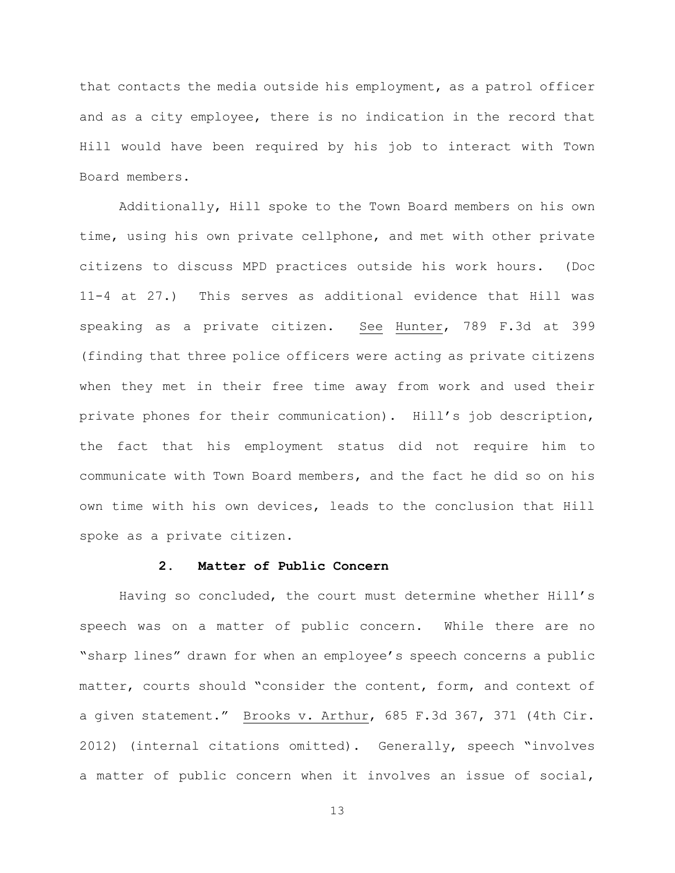that contacts the media outside his employment, as a patrol officer and as a city employee, there is no indication in the record that Hill would have been required by his job to interact with Town Board members.

Additionally, Hill spoke to the Town Board members on his own time, using his own private cellphone, and met with other private citizens to discuss MPD practices outside his work hours. (Doc 11-4 at 27.) This serves as additional evidence that Hill was speaking as a private citizen. See Hunter, 789 F.3d at 399 (finding that three police officers were acting as private citizens when they met in their free time away from work and used their private phones for their communication). Hill's job description, the fact that his employment status did not require him to communicate with Town Board members, and the fact he did so on his own time with his own devices, leads to the conclusion that Hill spoke as a private citizen.

### **2. Matter of Public Concern**

Having so concluded, the court must determine whether Hill's speech was on a matter of public concern. While there are no "sharp lines" drawn for when an employee's speech concerns a public matter, courts should "consider the content, form, and context of a given statement." Brooks v. Arthur, 685 F.3d 367, 371 (4th Cir. 2012) (internal citations omitted). Generally, speech "involves a matter of public concern when it involves an issue of social,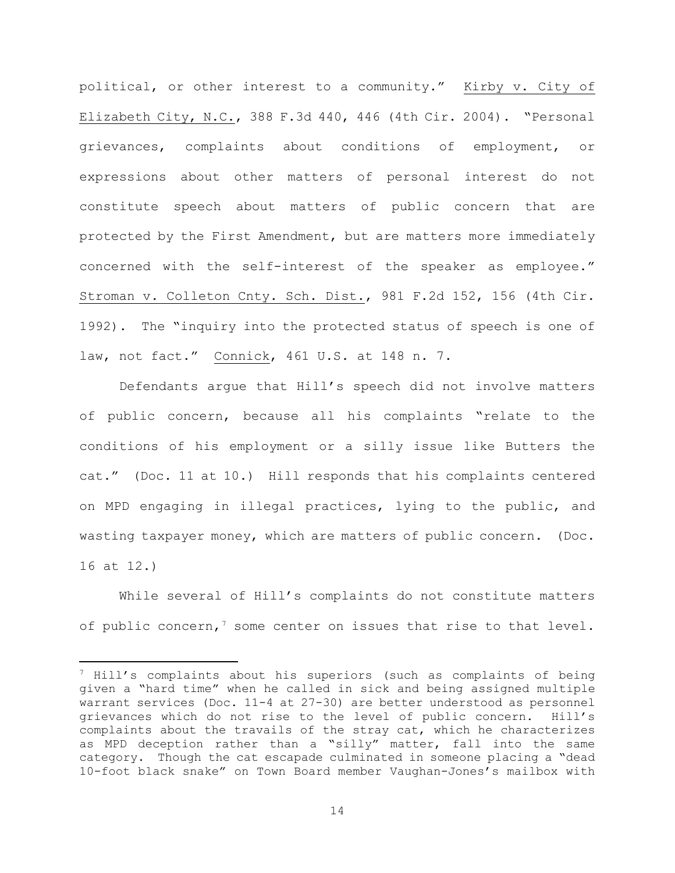political, or other interest to a community." Kirby v. City of Elizabeth City, N.C., 388 F.3d 440, 446 (4th Cir. 2004). "Personal grievances, complaints about conditions of employment, or expressions about other matters of personal interest do not constitute speech about matters of public concern that are protected by the First Amendment, but are matters more immediately concerned with the self-interest of the speaker as employee." Stroman v. Colleton Cnty. Sch. Dist., 981 F.2d 152, 156 (4th Cir. 1992). The "inquiry into the protected status of speech is one of law, not fact." Connick, 461 U.S. at 148 n. 7.

Defendants argue that Hill's speech did not involve matters of public concern, because all his complaints "relate to the conditions of his employment or a silly issue like Butters the cat." (Doc. 11 at 10.) Hill responds that his complaints centered on MPD engaging in illegal practices, lying to the public, and wasting taxpayer money, which are matters of public concern. (Doc. 16 at 12.)

While several of Hill's complaints do not constitute matters of public concern,<sup>7</sup> some center on issues that rise to that level.

 $7$  Hill's complaints about his superiors (such as complaints of being given a "hard time" when he called in sick and being assigned multiple warrant services (Doc. 11-4 at 27-30) are better understood as personnel grievances which do not rise to the level of public concern. Hill's complaints about the travails of the stray cat, which he characterizes as MPD deception rather than a "silly" matter, fall into the same category. Though the cat escapade culminated in someone placing a "dead 10-foot black snake" on Town Board member Vaughan-Jones's mailbox with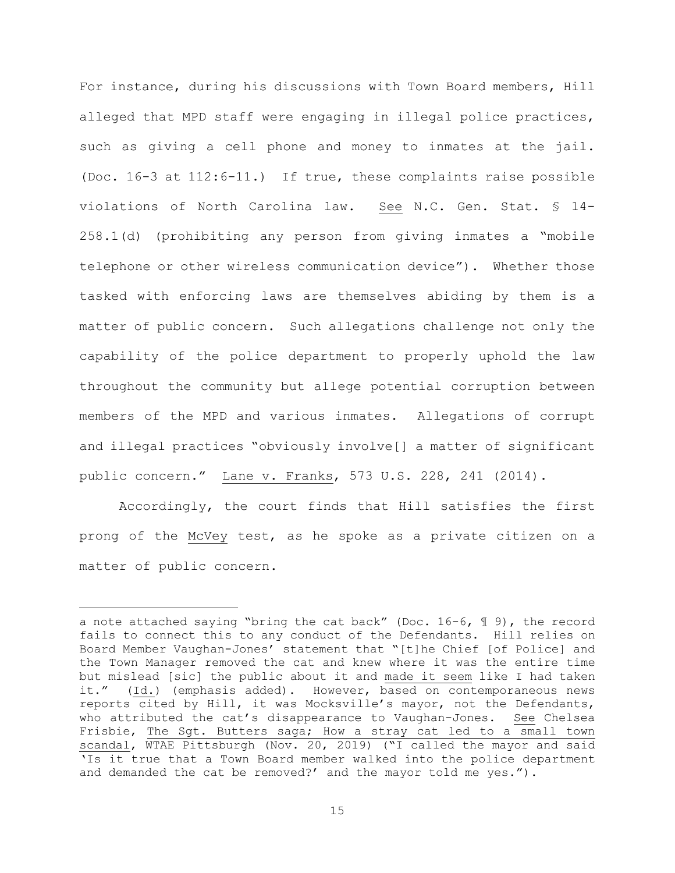For instance, during his discussions with Town Board members, Hill alleged that MPD staff were engaging in illegal police practices, such as giving a cell phone and money to inmates at the jail. (Doc. 16-3 at 112:6-11.) If true, these complaints raise possible violations of North Carolina law. See N.C. Gen. Stat. § 14- 258.1(d) (prohibiting any person from giving inmates a "mobile telephone or other wireless communication device"). Whether those tasked with enforcing laws are themselves abiding by them is a matter of public concern. Such allegations challenge not only the capability of the police department to properly uphold the law throughout the community but allege potential corruption between members of the MPD and various inmates. Allegations of corrupt and illegal practices "obviously involve[] a matter of significant public concern." Lane v. Franks, 573 U.S. 228, 241 (2014).

Accordingly, the court finds that Hill satisfies the first prong of the McVey test, as he spoke as a private citizen on a matter of public concern.

a note attached saying "bring the cat back" (Doc.  $16-6$ ,  $\text{\textsterling}9$ ), the record fails to connect this to any conduct of the Defendants. Hill relies on Board Member Vaughan-Jones' statement that "[t]he Chief [of Police] and the Town Manager removed the cat and knew where it was the entire time but mislead [sic] the public about it and made it seem like I had taken it." (Id.) (emphasis added). However, based on contemporaneous news reports cited by Hill, it was Mocksville's mayor, not the Defendants, who attributed the cat's disappearance to Vaughan-Jones. See Chelsea Frisbie, The Sgt. Butters saga; How a stray cat led to a small town scandal, WTAE Pittsburgh (Nov. 20, 2019) ("I called the mayor and said 'Is it true that a Town Board member walked into the police department and demanded the cat be removed?' and the mayor told me yes.").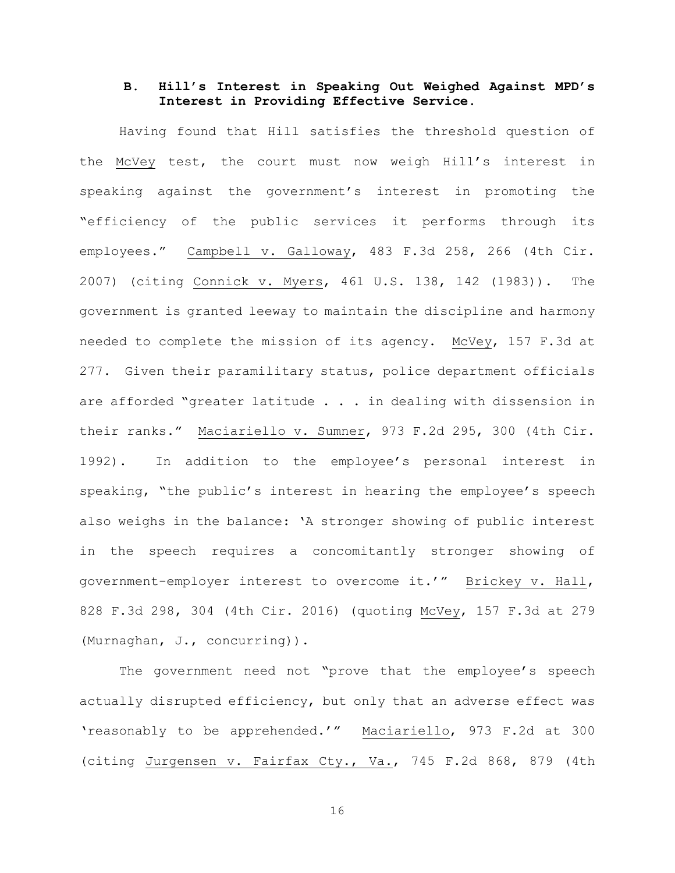# **B. Hill's Interest in Speaking Out Weighed Against MPD's Interest in Providing Effective Service.**

Having found that Hill satisfies the threshold question of the McVey test, the court must now weigh Hill's interest in speaking against the government's interest in promoting the "efficiency of the public services it performs through its employees." Campbell v. Galloway, 483 F.3d 258, 266 (4th Cir. 2007) (citing Connick v. Myers, 461 U.S. 138, 142 (1983)). The government is granted leeway to maintain the discipline and harmony needed to complete the mission of its agency. McVey, 157 F.3d at 277. Given their paramilitary status, police department officials are afforded "greater latitude . . . in dealing with dissension in their ranks." Maciariello v. Sumner, 973 F.2d 295, 300 (4th Cir. 1992). In addition to the employee's personal interest in speaking, "the public's interest in hearing the employee's speech also weighs in the balance: 'A stronger showing of public interest in the speech requires a concomitantly stronger showing of government-employer interest to overcome it.'" Brickey v. Hall, 828 F.3d 298, 304 (4th Cir. 2016) (quoting McVey, 157 F.3d at 279 (Murnaghan, J., concurring)).

The government need not "prove that the employee's speech actually disrupted efficiency, but only that an adverse effect was 'reasonably to be apprehended.'" Maciariello, 973 F.2d at 300 (citing Jurgensen v. Fairfax Cty., Va., 745 F.2d 868, 879 (4th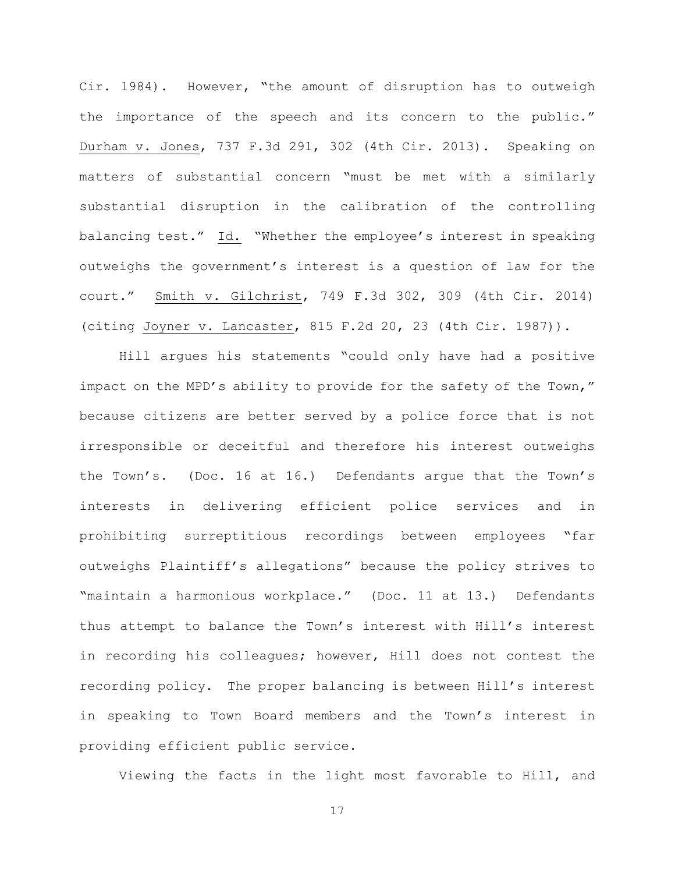Cir. 1984). However, "the amount of disruption has to outweigh the importance of the speech and its concern to the public." Durham v. Jones, 737 F.3d 291, 302 (4th Cir. 2013). Speaking on matters of substantial concern "must be met with a similarly substantial disruption in the calibration of the controlling balancing test." Id. "Whether the employee's interest in speaking outweighs the government's interest is a question of law for the court." Smith v. Gilchrist, 749 F.3d 302, 309 (4th Cir. 2014) (citing Joyner v. Lancaster, 815 F.2d 20, 23 (4th Cir. 1987)).

Hill argues his statements "could only have had a positive impact on the MPD's ability to provide for the safety of the Town," because citizens are better served by a police force that is not irresponsible or deceitful and therefore his interest outweighs the Town's. (Doc. 16 at 16.) Defendants argue that the Town's interests in delivering efficient police services and in prohibiting surreptitious recordings between employees "far outweighs Plaintiff's allegations" because the policy strives to "maintain a harmonious workplace." (Doc. 11 at 13.) Defendants thus attempt to balance the Town's interest with Hill's interest in recording his colleagues; however, Hill does not contest the recording policy. The proper balancing is between Hill's interest in speaking to Town Board members and the Town's interest in providing efficient public service.

Viewing the facts in the light most favorable to Hill, and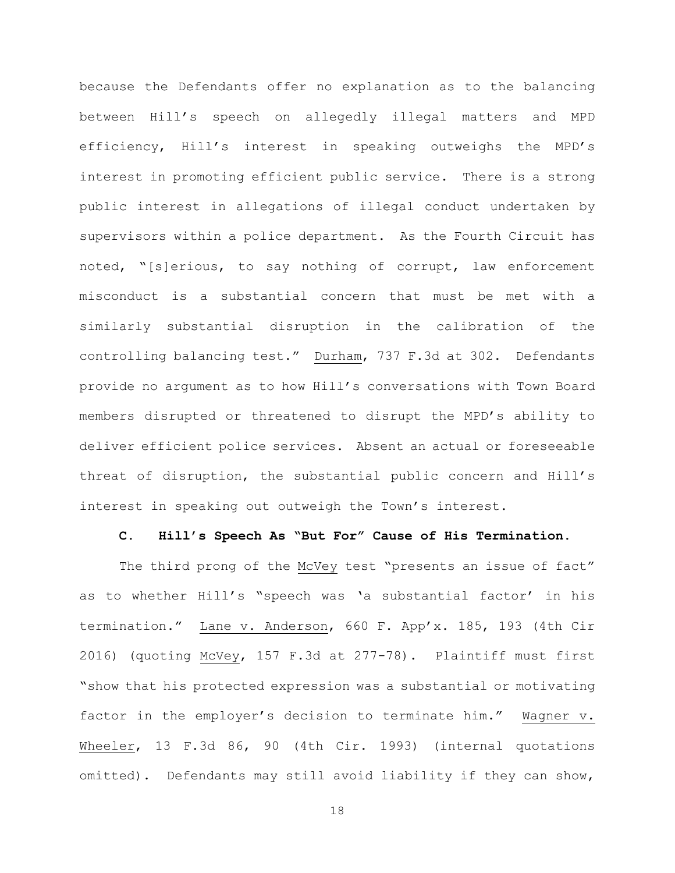because the Defendants offer no explanation as to the balancing between Hill's speech on allegedly illegal matters and MPD efficiency, Hill's interest in speaking outweighs the MPD's interest in promoting efficient public service. There is a strong public interest in allegations of illegal conduct undertaken by supervisors within a police department. As the Fourth Circuit has noted, "[s]erious, to say nothing of corrupt, law enforcement misconduct is a substantial concern that must be met with a similarly substantial disruption in the calibration of the controlling balancing test." Durham, 737 F.3d at 302. Defendants provide no argument as to how Hill's conversations with Town Board members disrupted or threatened to disrupt the MPD's ability to deliver efficient police services. Absent an actual or foreseeable threat of disruption, the substantial public concern and Hill's interest in speaking out outweigh the Town's interest.

#### **C. Hill's Speech As "But For" Cause of His Termination.**

The third prong of the McVey test "presents an issue of fact" as to whether Hill's "speech was 'a substantial factor' in his termination." Lane v. Anderson, 660 F. App'x. 185, 193 (4th Cir 2016) (quoting McVey, 157 F.3d at 277-78). Plaintiff must first "show that his protected expression was a substantial or motivating factor in the employer's decision to terminate him." Wagner v. Wheeler, 13 F.3d 86, 90 (4th Cir. 1993) (internal quotations omitted). Defendants may still avoid liability if they can show,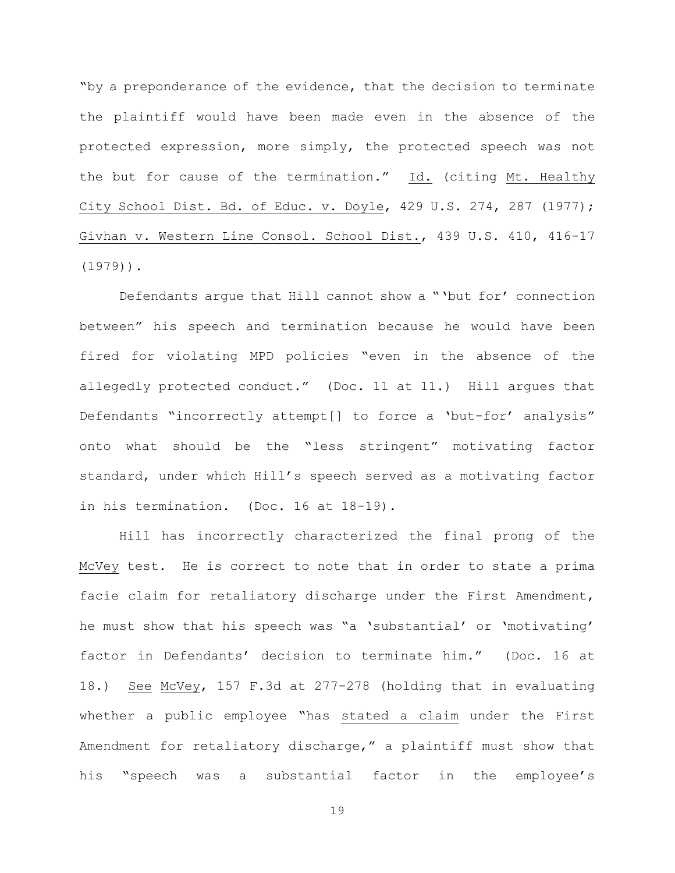"by a preponderance of the evidence, that the decision to terminate the plaintiff would have been made even in the absence of the protected expression, more simply, the protected speech was not the but for cause of the termination." Id. (citing Mt. Healthy City School Dist. Bd. of Educ. v. Doyle, 429 U.S. 274, 287 (1977); Givhan v. Western Line Consol. School Dist., 439 U.S. 410, 416-17 (1979)).

Defendants argue that Hill cannot show a "'but for' connection between" his speech and termination because he would have been fired for violating MPD policies "even in the absence of the allegedly protected conduct." (Doc. 11 at 11.) Hill argues that Defendants "incorrectly attempt[] to force a 'but-for' analysis" onto what should be the "less stringent" motivating factor standard, under which Hill's speech served as a motivating factor in his termination. (Doc. 16 at 18-19).

Hill has incorrectly characterized the final prong of the McVey test. He is correct to note that in order to state a prima facie claim for retaliatory discharge under the First Amendment, he must show that his speech was "a 'substantial' or 'motivating' factor in Defendants' decision to terminate him." (Doc. 16 at 18.) See McVey, 157 F.3d at 277-278 (holding that in evaluating whether a public employee "has stated a claim under the First Amendment for retaliatory discharge," a plaintiff must show that his "speech was a substantial factor in the employee's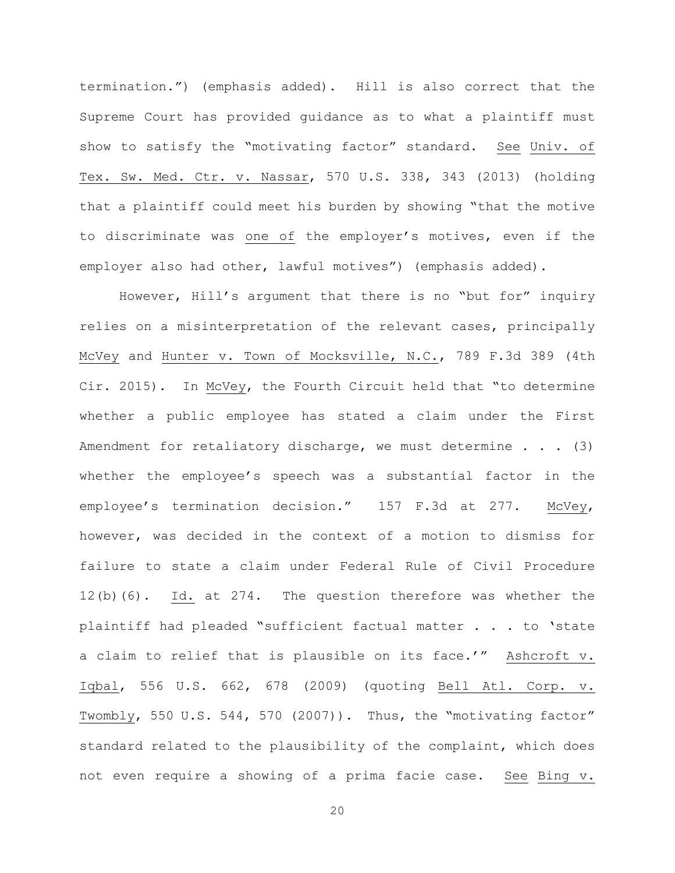termination.") (emphasis added). Hill is also correct that the Supreme Court has provided guidance as to what a plaintiff must show to satisfy the "motivating factor" standard. See Univ. of Tex. Sw. Med. Ctr. v. Nassar, 570 U.S. 338, 343 (2013) (holding that a plaintiff could meet his burden by showing "that the motive to discriminate was one of the employer's motives, even if the employer also had other, lawful motives") (emphasis added).

However, Hill's argument that there is no "but for" inquiry relies on a misinterpretation of the relevant cases, principally McVey and Hunter v. Town of Mocksville, N.C., 789 F.3d 389 (4th Cir. 2015). In McVey, the Fourth Circuit held that "to determine whether a public employee has stated a claim under the First Amendment for retaliatory discharge, we must determine  $\ldots$  (3) whether the employee's speech was a substantial factor in the employee's termination decision." 157 F.3d at 277. McVey, however, was decided in the context of a motion to dismiss for failure to state a claim under Federal Rule of Civil Procedure 12(b)(6). Id. at 274. The question therefore was whether the plaintiff had pleaded "sufficient factual matter . . . to 'state a claim to relief that is plausible on its face.'" Ashcroft v. Iqbal, 556 U.S. 662, 678 (2009) (quoting Bell Atl. Corp. v. Twombly, 550 U.S. 544, 570 (2007)). Thus, the "motivating factor" standard related to the plausibility of the complaint, which does not even require a showing of a prima facie case. See Bing v.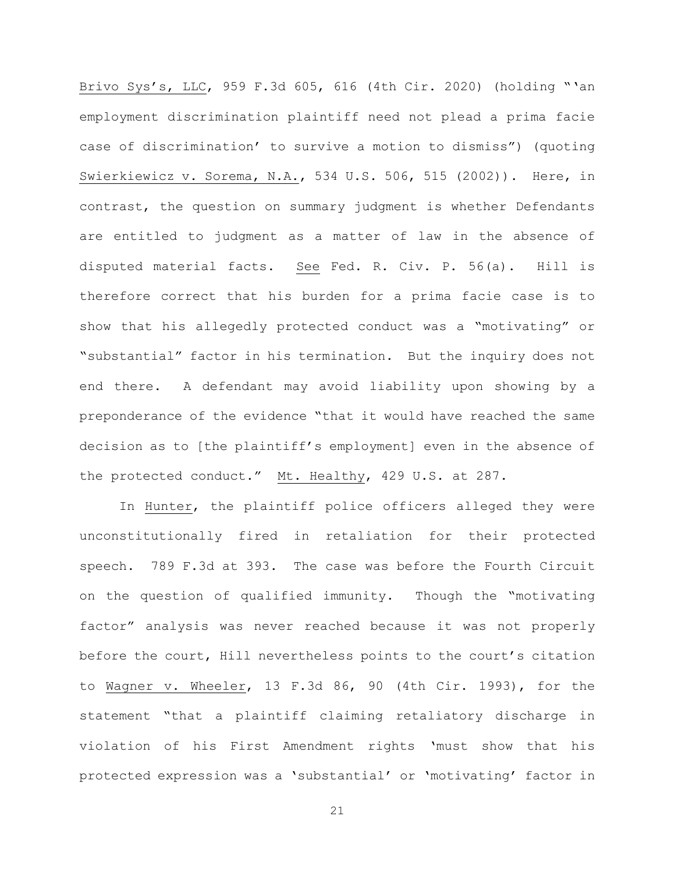Brivo Sys's, LLC, 959 F.3d 605, 616 (4th Cir. 2020) (holding "'an employment discrimination plaintiff need not plead a prima facie case of discrimination' to survive a motion to dismiss") (quoting Swierkiewicz v. Sorema, N.A., 534 U.S. 506, 515 (2002)). Here, in contrast, the question on summary judgment is whether Defendants are entitled to judgment as a matter of law in the absence of disputed material facts. See Fed. R. Civ. P. 56(a). Hill is therefore correct that his burden for a prima facie case is to show that his allegedly protected conduct was a "motivating" or "substantial" factor in his termination. But the inquiry does not end there. A defendant may avoid liability upon showing by a preponderance of the evidence "that it would have reached the same decision as to [the plaintiff's employment] even in the absence of the protected conduct." Mt. Healthy, 429 U.S. at 287.

In Hunter, the plaintiff police officers alleged they were unconstitutionally fired in retaliation for their protected speech. 789 F.3d at 393. The case was before the Fourth Circuit on the question of qualified immunity. Though the "motivating factor" analysis was never reached because it was not properly before the court, Hill nevertheless points to the court's citation to Wagner v. Wheeler, 13 F.3d 86, 90 (4th Cir. 1993), for the statement "that a plaintiff claiming retaliatory discharge in violation of his First Amendment rights 'must show that his protected expression was a 'substantial' or 'motivating' factor in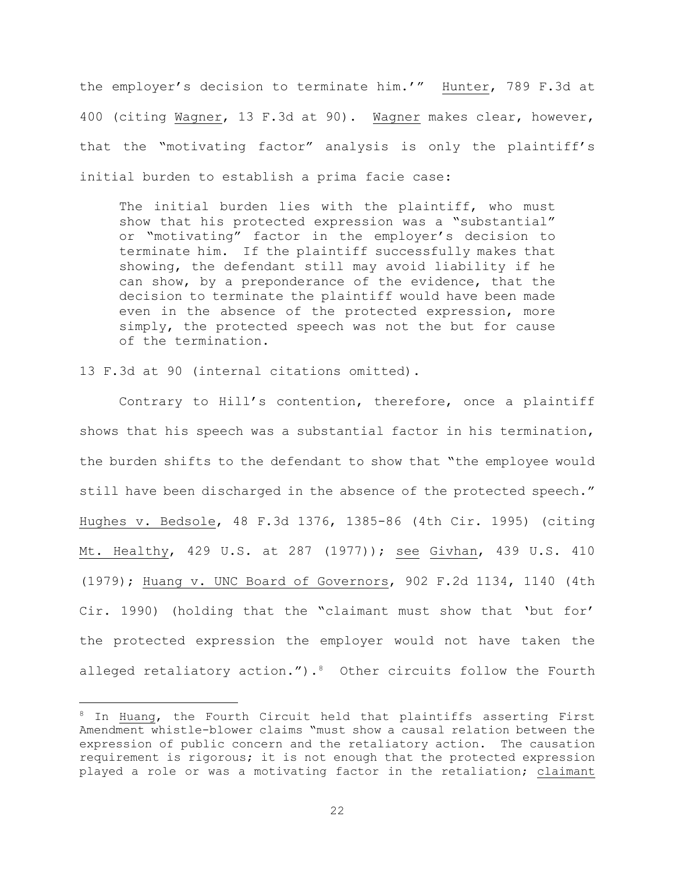the employer's decision to terminate him.'" Hunter, 789 F.3d at 400 (citing Wagner, 13 F.3d at 90). Wagner makes clear, however, that the "motivating factor" analysis is only the plaintiff's initial burden to establish a prima facie case:

The initial burden lies with the plaintiff, who must show that his protected expression was a "substantial" or "motivating" factor in the employer's decision to terminate him. If the plaintiff successfully makes that showing, the defendant still may avoid liability if he can show, by a preponderance of the evidence, that the decision to terminate the plaintiff would have been made even in the absence of the protected expression, more simply, the protected speech was not the but for cause of the termination.

13 F.3d at 90 (internal citations omitted).

Contrary to Hill's contention, therefore, once a plaintiff shows that his speech was a substantial factor in his termination, the burden shifts to the defendant to show that "the employee would still have been discharged in the absence of the protected speech." Hughes v. Bedsole, 48 F.3d 1376, 1385-86 (4th Cir. 1995) (citing Mt. Healthy, 429 U.S. at 287 (1977)); see Givhan, 439 U.S. 410 (1979); Huang v. UNC Board of Governors, 902 F.2d 1134, 1140 (4th Cir. 1990) (holding that the "claimant must show that 'but for' the protected expression the employer would not have taken the alleged retaliatory action."). $8$  Other circuits follow the Fourth

<sup>&</sup>lt;sup>8</sup> In Huang, the Fourth Circuit held that plaintiffs asserting First Amendment whistle-blower claims "must show a causal relation between the expression of public concern and the retaliatory action. The causation requirement is rigorous; it is not enough that the protected expression played a role or was a motivating factor in the retaliation; claimant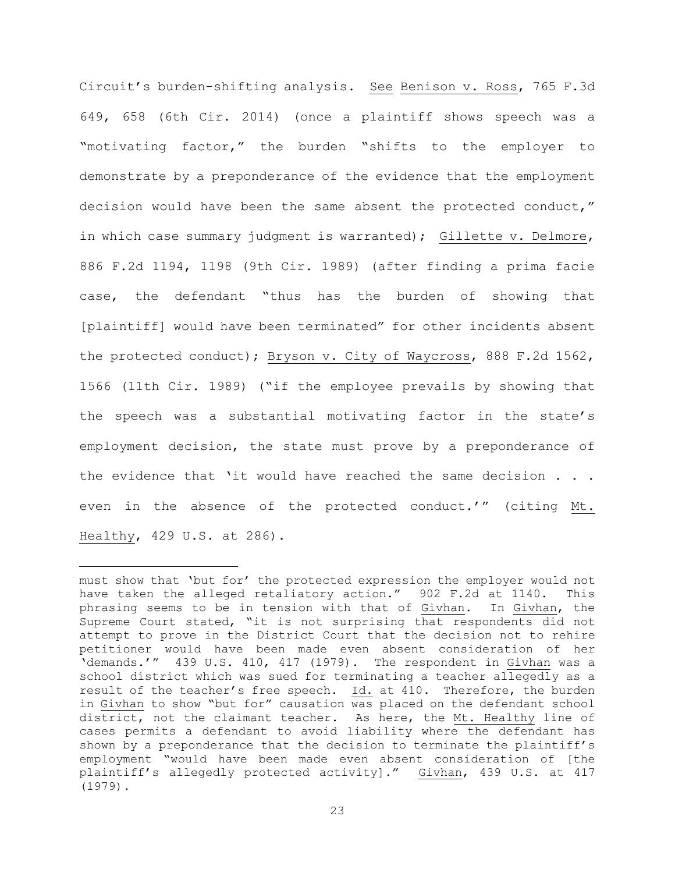Circuit's burden-shifting analysis. See Benison v. Ross, 765 F.3d 649, 658 (6th Cir. 2014) (once a plaintiff shows speech was a "motivating factor," the burden "shifts to the employer to demonstrate by a preponderance of the evidence that the employment decision would have been the same absent the protected conduct," in which case summary judgment is warranted); Gillette v. Delmore, 886 F.2d 1194, 1198 (9th Cir. 1989) (after finding a prima facie case, the defendant "thus has the burden of showing that [plaintiff] would have been terminated" for other incidents absent the protected conduct); Bryson v. City of Waycross, 888 F.2d 1562, 1566 (11th Cir. 1989) ("if the employee prevails by showing that the speech was a substantial motivating factor in the state's employment decision, the state must prove by a preponderance of the evidence that 'it would have reached the same decision . . . even in the absence of the protected conduct.'" (citing Mt. Healthy, 429 U.S. at 286).

must show that 'but for' the protected expression the employer would not have taken the alleged retaliatory action." 902 F.2d at 1140. This phrasing seems to be in tension with that of Givhan. In Givhan, the Supreme Court stated, "it is not surprising that respondents did not attempt to prove in the District Court that the decision not to rehire petitioner would have been made even absent consideration of her 'demands.'" 439 U.S. 410, 417 (1979). The respondent in Givhan was a school district which was sued for terminating a teacher allegedly as a result of the teacher's free speech. Id. at 410. Therefore, the burden in Givhan to show "but for" causation was placed on the defendant school district, not the claimant teacher. As here, the Mt. Healthy line of cases permits a defendant to avoid liability where the defendant has shown by a preponderance that the decision to terminate the plaintiff's employment "would have been made even absent consideration of [the plaintiff's allegedly protected activity]." Givhan, 439 U.S. at 417 (1979).

<sup>23</sup>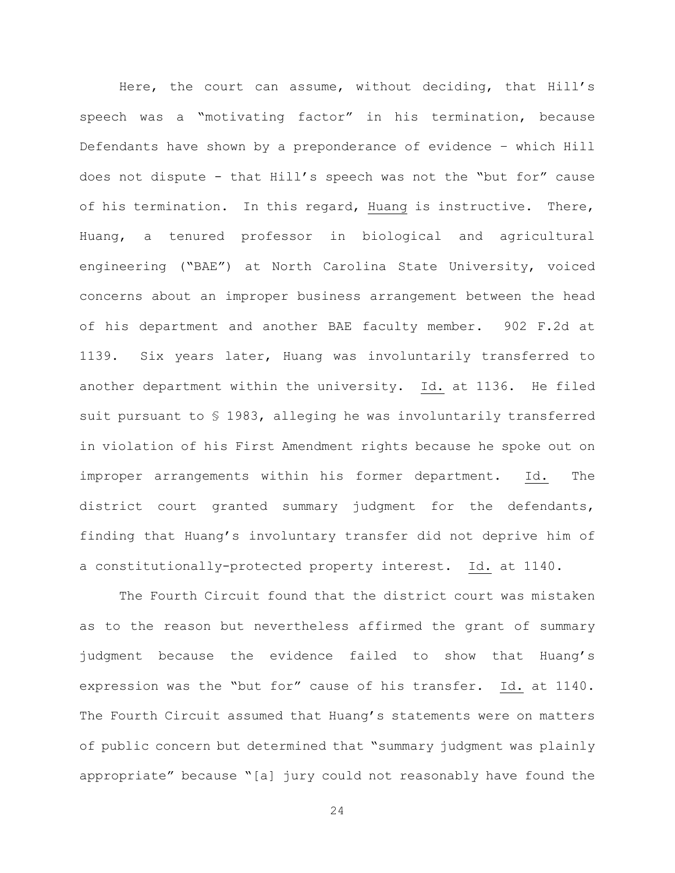Here, the court can assume, without deciding, that Hill's speech was a "motivating factor" in his termination, because Defendants have shown by a preponderance of evidence – which Hill does not dispute - that Hill's speech was not the "but for" cause of his termination. In this regard, Huang is instructive. There, Huang, a tenured professor in biological and agricultural engineering ("BAE") at North Carolina State University, voiced concerns about an improper business arrangement between the head of his department and another BAE faculty member. 902 F.2d at 1139. Six years later, Huang was involuntarily transferred to another department within the university. Id. at 1136. He filed suit pursuant to § 1983, alleging he was involuntarily transferred in violation of his First Amendment rights because he spoke out on improper arrangements within his former department. Id. The district court granted summary judgment for the defendants, finding that Huang's involuntary transfer did not deprive him of a constitutionally-protected property interest. Id. at 1140.

The Fourth Circuit found that the district court was mistaken as to the reason but nevertheless affirmed the grant of summary judgment because the evidence failed to show that Huang's expression was the "but for" cause of his transfer. Id. at 1140. The Fourth Circuit assumed that Huang's statements were on matters of public concern but determined that "summary judgment was plainly appropriate" because "[a] jury could not reasonably have found the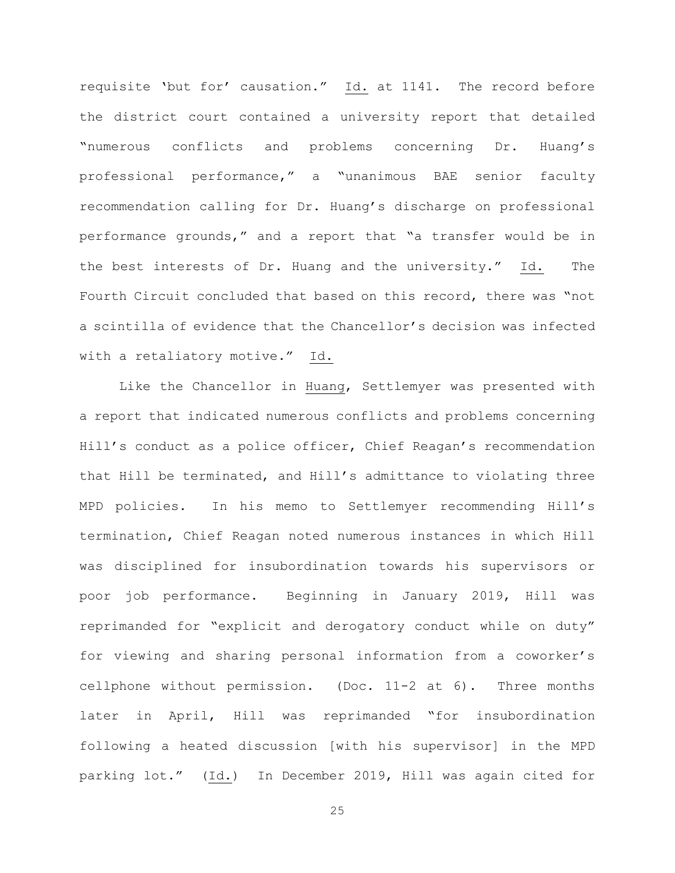requisite 'but for' causation." Id. at 1141. The record before the district court contained a university report that detailed "numerous conflicts and problems concerning Dr. Huang's professional performance," a "unanimous BAE senior faculty recommendation calling for Dr. Huang's discharge on professional performance grounds," and a report that "a transfer would be in the best interests of Dr. Huang and the university." Id. The Fourth Circuit concluded that based on this record, there was "not a scintilla of evidence that the Chancellor's decision was infected with a retaliatory motive." Id.

Like the Chancellor in Huang, Settlemyer was presented with a report that indicated numerous conflicts and problems concerning Hill's conduct as a police officer, Chief Reagan's recommendation that Hill be terminated, and Hill's admittance to violating three MPD policies. In his memo to Settlemyer recommending Hill's termination, Chief Reagan noted numerous instances in which Hill was disciplined for insubordination towards his supervisors or poor job performance. Beginning in January 2019, Hill was reprimanded for "explicit and derogatory conduct while on duty" for viewing and sharing personal information from a coworker's cellphone without permission. (Doc. 11-2 at 6). Three months later in April, Hill was reprimanded "for insubordination following a heated discussion [with his supervisor] in the MPD parking lot." (Id.) In December 2019, Hill was again cited for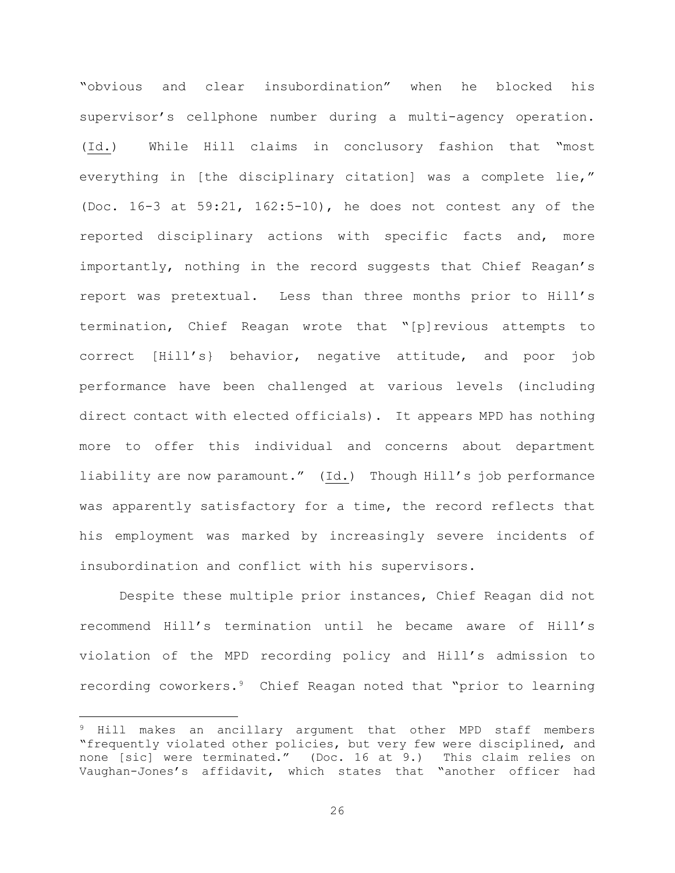"obvious and clear insubordination" when he blocked his supervisor's cellphone number during a multi-agency operation. (Id.) While Hill claims in conclusory fashion that "most everything in [the disciplinary citation] was a complete lie," (Doc. 16-3 at 59:21, 162:5-10), he does not contest any of the reported disciplinary actions with specific facts and, more importantly, nothing in the record suggests that Chief Reagan's report was pretextual. Less than three months prior to Hill's termination, Chief Reagan wrote that "[p]revious attempts to correct [Hill's} behavior, negative attitude, and poor job performance have been challenged at various levels (including direct contact with elected officials). It appears MPD has nothing more to offer this individual and concerns about department liability are now paramount." (Id.) Though Hill's job performance was apparently satisfactory for a time, the record reflects that his employment was marked by increasingly severe incidents of insubordination and conflict with his supervisors.

Despite these multiple prior instances, Chief Reagan did not recommend Hill's termination until he became aware of Hill's violation of the MPD recording policy and Hill's admission to recording coworkers.9 Chief Reagan noted that "prior to learning

<sup>9</sup> Hill makes an ancillary argument that other MPD staff members "frequently violated other policies, but very few were disciplined, and<br>none [sic] were terminated." (Doc. 16 at 9.) This claim relies on none [sic] were terminated." (Doc. 16 at 9.) Vaughan-Jones's affidavit, which states that "another officer had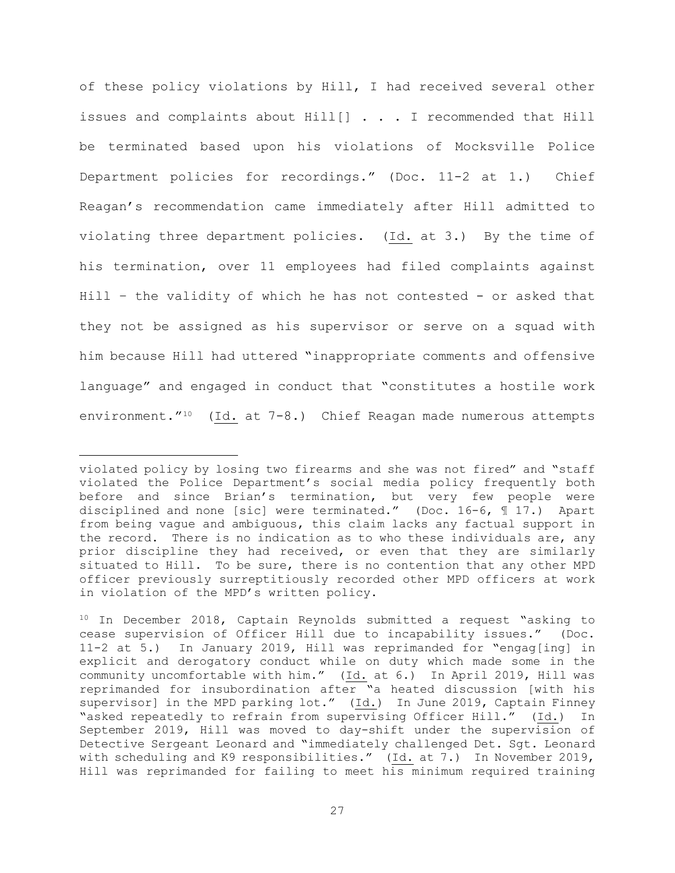of these policy violations by Hill, I had received several other issues and complaints about Hill[] . . . I recommended that Hill be terminated based upon his violations of Mocksville Police Department policies for recordings." (Doc. 11-2 at 1.) Chief Reagan's recommendation came immediately after Hill admitted to violating three department policies. (Id. at 3.) By the time of his termination, over 11 employees had filed complaints against Hill – the validity of which he has not contested - or asked that they not be assigned as his supervisor or serve on a squad with him because Hill had uttered "inappropriate comments and offensive language" and engaged in conduct that "constitutes a hostile work environment."<sup>10</sup> (Id. at 7-8.) Chief Reagan made numerous attempts

violated policy by losing two firearms and she was not fired" and "staff violated the Police Department's social media policy frequently both before and since Brian's termination, but very few people were disciplined and none [sic] were terminated." (Doc. 16-6, ¶ 17.) Apart from being vague and ambiguous, this claim lacks any factual support in the record. There is no indication as to who these individuals are, any prior discipline they had received, or even that they are similarly situated to Hill. To be sure, there is no contention that any other MPD officer previously surreptitiously recorded other MPD officers at work in violation of the MPD's written policy.

<sup>&</sup>lt;sup>10</sup> In December 2018, Captain Reynolds submitted a request "asking to cease supervision of Officer Hill due to incapability issues." (Doc. 11-2 at 5.) In January 2019, Hill was reprimanded for "engag[ing] in explicit and derogatory conduct while on duty which made some in the community uncomfortable with him." (Id. at 6.) In April 2019, Hill was reprimanded for insubordination after "a heated discussion [with his supervisor] in the MPD parking lot." (Id.) In June 2019, Captain Finney "asked repeatedly to refrain from supervising Officer Hill." (Id.) In September 2019, Hill was moved to day-shift under the supervision of Detective Sergeant Leonard and "immediately challenged Det. Sgt. Leonard with scheduling and K9 responsibilities." (Id. at 7.) In November 2019, Hill was reprimanded for failing to meet his minimum required training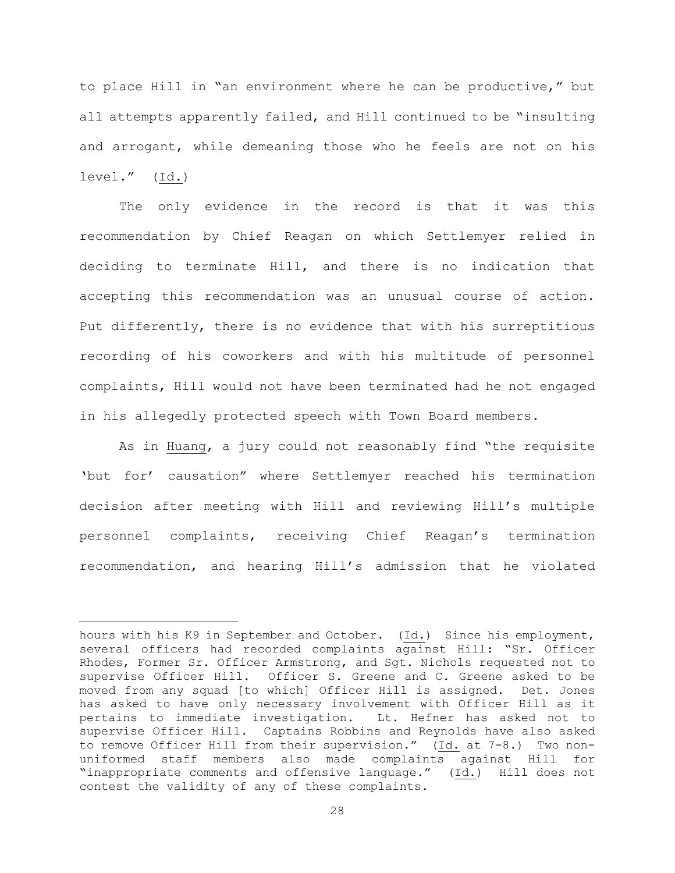to place Hill in "an environment where he can be productive," but all attempts apparently failed, and Hill continued to be "insulting and arrogant, while demeaning those who he feels are not on his level." (Id.)

The only evidence in the record is that it was this recommendation by Chief Reagan on which Settlemyer relied in deciding to terminate Hill, and there is no indication that accepting this recommendation was an unusual course of action. Put differently, there is no evidence that with his surreptitious recording of his coworkers and with his multitude of personnel complaints, Hill would not have been terminated had he not engaged in his allegedly protected speech with Town Board members.

As in Huang, a jury could not reasonably find "the requisite 'but for' causation" where Settlemyer reached his termination decision after meeting with Hill and reviewing Hill's multiple personnel complaints, receiving Chief Reagan's termination recommendation, and hearing Hill's admission that he violated

hours with his K9 in September and October. (Id.) Since his employment, several officers had recorded complaints against Hill: "Sr. Officer Rhodes, Former Sr. Officer Armstrong, and Sgt. Nichols requested not to supervise Officer Hill. Officer S. Greene and C. Greene asked to be moved from any squad [to which] Officer Hill is assigned. Det. Jones has asked to have only necessary involvement with Officer Hill as it pertains to immediate investigation. Lt. Hefner has asked not to supervise Officer Hill. Captains Robbins and Reynolds have also asked to remove Officer Hill from their supervision." (Id. at 7-8.) Two nonuniformed staff members also made complaints against Hill for "inappropriate comments and offensive language." (Id.) Hill does not contest the validity of any of these complaints.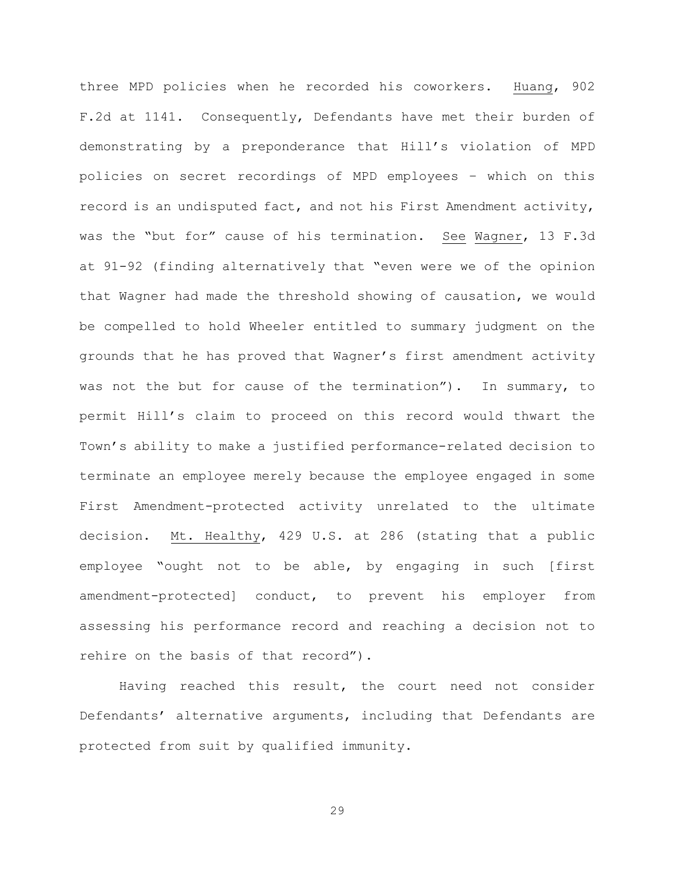three MPD policies when he recorded his coworkers. Huang, 902 F.2d at 1141. Consequently, Defendants have met their burden of demonstrating by a preponderance that Hill's violation of MPD policies on secret recordings of MPD employees – which on this record is an undisputed fact, and not his First Amendment activity, was the "but for" cause of his termination. See Wagner, 13 F.3d at 91-92 (finding alternatively that "even were we of the opinion that Wagner had made the threshold showing of causation, we would be compelled to hold Wheeler entitled to summary judgment on the grounds that he has proved that Wagner's first amendment activity was not the but for cause of the termination"). In summary, to permit Hill's claim to proceed on this record would thwart the Town's ability to make a justified performance-related decision to terminate an employee merely because the employee engaged in some First Amendment-protected activity unrelated to the ultimate decision. Mt. Healthy, 429 U.S. at 286 (stating that a public employee "ought not to be able, by engaging in such [first amendment-protected] conduct, to prevent his employer from assessing his performance record and reaching a decision not to rehire on the basis of that record").

Having reached this result, the court need not consider Defendants' alternative arguments, including that Defendants are protected from suit by qualified immunity.